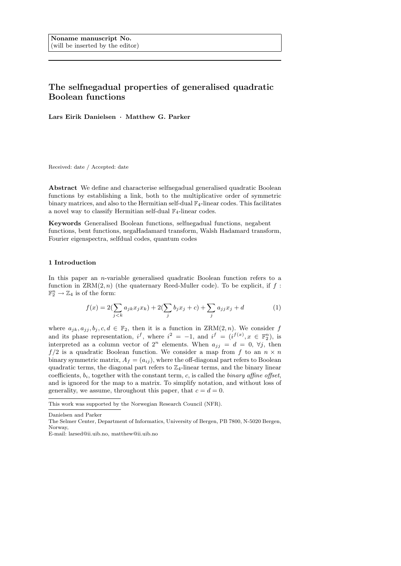# The selfnegadual properties of generalised quadratic Boolean functions

Lars Eirik Danielsen · Matthew G. Parker

Received: date / Accepted: date

Abstract We define and characterise selfnegadual generalised quadratic Boolean functions by establishing a link, both to the multiplicative order of symmetric binary matrices, and also to the Hermitian self-dual F4-linear codes. This facilitates a novel way to classify Hermitian self-dual  $\mathbb{F}_4$ -linear codes.

Keywords Generalised Boolean functions, selfnegadual functions, negabent functions, bent functions, negaHadamard transform, Walsh Hadamard transform, Fourier eigenspectra, selfdual codes, quantum codes

## 1 Introduction

In this paper an n-variable generalised quadratic Boolean function refers to a function in  $\text{ZRM}(2, n)$  (the quaternary Reed-Muller code). To be explicit, if  $f$ :  $\mathbb{F}_2^n \to \mathbb{Z}_4$  is of the form:

$$
f(x) = 2(\sum_{j < k} a_{jk} x_j x_k) + 2(\sum_j b_j x_j + c) + \sum_j a_{jj} x_j + d \tag{1}
$$

where  $a_{ik}, a_{ij}, b_i, c, d \in \mathbb{F}_2$ , then it is a function in  $\text{ZRM}(2, n)$ . We consider f and its phase representation,  $i^f$ , where  $i^2 = -1$ , and  $i^f = (i^{f(x)}, x \in \mathbb{F}_2^n)$ , is interpreted as a column vector of  $2^n$  elements. When  $a_{jj} = d = 0, \forall j$ , then  $f/2$  is a quadratic Boolean function. We consider a map from f to an  $n \times n$ binary symmetric matrix,  $A_f = (a_{ij})$ , where the off-diagonal part refers to Boolean quadratic terms, the diagonal part refers to  $\mathbb{Z}_4$ -linear terms, and the binary linear coefficients,  $b_i$ , together with the constant term, c, is called the *binary affine offset*, and is ignored for the map to a matrix. To simplify notation, and without loss of generality, we assume, throughout this paper, that  $c = d = 0$ .

This work was supported by the Norwegian Research Council (NFR).

Danielsen and Parker

The Selmer Center, Department of Informatics, University of Bergen, PB 7800, N-5020 Bergen, Norway,

E-mail: larsed@ii.uib.no, matthew@ii.uib.no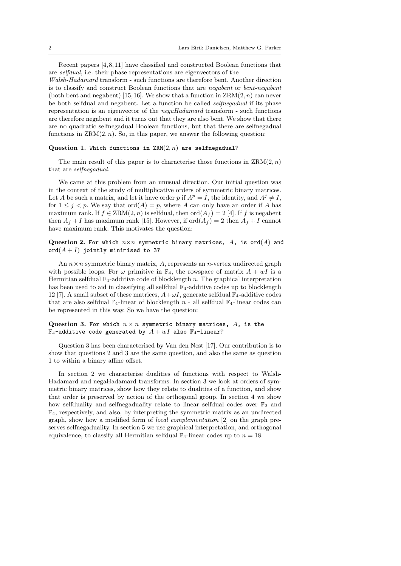Recent papers [4, 8, 11] have classified and constructed Boolean functions that are selfdual, i.e. their phase representations are eigenvectors of the

Walsh-Hadamard transform - such functions are therefore bent. Another direction is to classify and construct Boolean functions that are negabent or bent-negabent (both bent and negabent) [15,16]. We show that a function in  $\text{ZRM}(2, n)$  can never be both selfdual and negabent. Let a function be called selfnegadual if its phase representation is an eigenvector of the negaHadamard transform - such functions are therefore negabent and it turns out that they are also bent. We show that there are no quadratic selfnegadual Boolean functions, but that there are selfnegadual functions in  $ZRM(2, n)$ . So, in this paper, we answer the following question:

#### Question 1. Which functions in  $ZRM(2, n)$  are selfnegadual?

The main result of this paper is to characterise those functions in  $ZRM(2, n)$ that are selfnegadual.

We came at this problem from an unusual direction. Our initial question was in the context of the study of multiplicative orders of symmetric binary matrices. Let A be such a matrix, and let it have order p if  $A^p = I$ , the identity, and  $A^j \neq I$ , for  $1 \leq j \leq p$ . We say that  $\text{ord}(A) = p$ , where A can only have an order if A has maximum rank. If  $f \in \text{ZRM}(2, n)$  is selfdual, then  $\text{ord}(A_f) = 2$  [4]. If f is negabent then  $A_f + I$  has maximum rank [15]. However, if  $\text{ord}(A_f) = 2$  then  $A_f + I$  cannot have maximum rank. This motivates the question:

Question 2. For which  $n \times n$  symmetric binary matrices, A, is ord(A) and  $\text{ord}(A + I)$  jointly minimised to 3?

An  $n \times n$  symmetric binary matrix, A, represents an *n*-vertex undirected graph with possible loops. For  $\omega$  primitive in  $\mathbb{F}_4$ , the rowspace of matrix  $A + wI$  is a Hermitian selfdual  $\mathbb{F}_4$ -additive code of blocklength n. The graphical interpretation has been used to aid in classifying all selfdual  $\mathbb{F}_4$ -additive codes up to blocklength 12 [7]. A small subset of these matrices,  $A + \omega I$ , generate selfdual  $\mathbb{F}_4$ -additive codes that are also selfdual  $\mathbb{F}_4$ -linear of blocklength n - all selfdual  $\mathbb{F}_4$ -linear codes can be represented in this way. So we have the question:

# Question 3. For which  $n \times n$  symmetric binary matrices, A, is the  $\mathbb{F}_4$ -additive code generated by  $A + wI$  also  $\mathbb{F}_4$ -linear?

Question 3 has been characterised by Van den Nest [17]. Our contribution is to show that questions 2 and 3 are the same question, and also the same as question 1 to within a binary affine offset.

In section 2 we characterise dualities of functions with respect to Walsh-Hadamard and negaHadamard transforms. In section 3 we look at orders of symmetric binary matrices, show how they relate to dualities of a function, and show that order is preserved by action of the orthogonal group. In section 4 we show how selfduality and selfnegaduality relate to linear selfdual codes over  $\mathbb{F}_2$  and  $\mathbb{F}_4$ , respectively, and also, by interpreting the symmetric matrix as an undirected graph, show how a modified form of local complementation [2] on the graph preserves selfnegaduality. In section 5 we use graphical interpretation, and orthogonal equivalence, to classify all Hermitian selfdual  $\mathbb{F}_4$ -linear codes up to  $n = 18$ .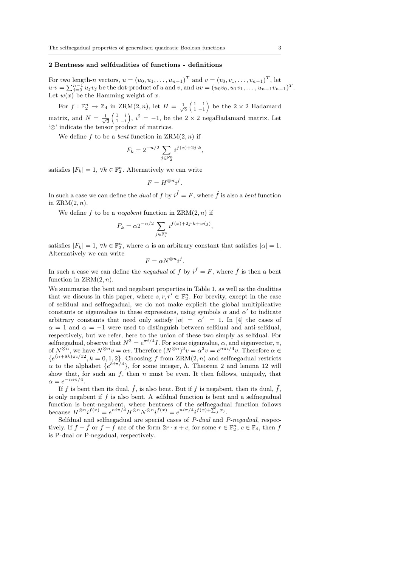### 2 Bentness and selfdualities of functions - definitions

For two length-*n* vectors,  $u = (u_0, u_1, ..., u_{n-1})^T$  and  $v = (v_0, v_1, ..., v_{n-1})^T$ , let  $u \cdot v = \sum_{j=0}^{n-1} u_j v_j$  be the dot-product of u and v, and  $uv = (u_0v_0, u_1v_1, \dots, u_{n-1}v_{n-1})^T$ . Let  $w(x)$  be the Hamming weight of x.

For  $f: \mathbb{F}_2^n \to \mathbb{Z}_4$  in  $\text{ZRM}(2, n)$ , let  $H = \frac{1}{\sqrt{2}} \begin{pmatrix} 1 & 1 \\ 1 & -1 \end{pmatrix}$  be the  $2 \times 2$  Hadamard matrix, and  $N = \frac{1}{\sqrt{2}} \begin{pmatrix} 1 & i \\ 1 & -i \end{pmatrix}$ ,  $i^2 = -1$ , be the  $2 \times 2$  negaHadamard matrix. Let '⊗' indicate the tensor product of matrices.

We define f to be a *bent* function in  $\text{ZRM}(2, n)$  if

$$
F_k = 2^{-n/2} \sum_{j \in \mathbb{F}_2^n} i^{f(x) + 2j \cdot k},
$$

satisfies  $|F_k| = 1, \forall k \in \mathbb{F}_2^n$ . Alternatively we can write

$$
F = H^{\otimes n} i^f.
$$

In such a case we can define the *dual* of f by  $i^{\hat{f}} = F$ , where  $\hat{f}$  is also a *bent* function in  $ZRM(2, n)$ .

We define f to be a *negabent* function in  $\text{ZRM}(2, n)$  if

$$
F_k = \alpha 2^{-n/2} \sum_{j \in \mathbb{F}_2^n} i^{f(x) + 2j \cdot k + w(j)},
$$

satisfies  $|F_k| = 1, \forall k \in \mathbb{F}_2^n$ , where  $\alpha$  is an arbitrary constant that satisfies  $|\alpha| = 1$ . Alternatively we can write

$$
F = \alpha N^{\otimes n} i^f.
$$

In such a case we can define the *negadual* of f by  $i^{\tilde{f}} = F$ , where  $\tilde{f}$  is then a bent function in  $\text{ZRM}(2, n)$ .

We summarise the bent and negabent properties in Table 1, as well as the dualities that we discuss in this paper, where  $s, r, r' \in \mathbb{F}_2^n$ . For brevity, except in the case of selfdual and selfnegadual, we do not make explicit the global multiplicative constants or eigenvalues in these expressions, using symbols  $\alpha$  and  $\alpha'$  to indicate arbitrary constants that need only satisfy  $|\alpha| = |\alpha'| = 1$ . In [4] the cases of  $\alpha = 1$  and  $\alpha = -1$  were used to distinguish between selfdual and anti-selfdual, respectively, but we refer, here to the union of these two simply as selfdual. For selfnegadual, observe that  $N^3 = e^{\pi i/4} I$ . For some eigenvalue,  $\alpha$ , and eigenvector, v, of  $N^{\otimes n}$ , we have  $N^{\otimes n}v = \alpha v$ . Therefore  $(N^{\otimes n})^3v = \alpha^3v = e^{n\pi i/4}v$ . Therefore  $\alpha \in$  ${e^{(n+8k)\pi i/12}, k=0,1,2}$ . Choosing f from ZRM $(2, n)$  and selfnegadual restricts  $\alpha$  to the alphabet  $\{e^{hi\pi/4}\}\$ , for some integer, h. Theorem 2 and lemma 12 will show that, for such an  $f$ , then  $n$  must be even. It then follows, uniquely, that  $\alpha = e^{-ni\pi/4}.$ 

If f is bent then its dual,  $\hat{f}$ , is also bent. But if f is negabent, then its dual,  $\tilde{f}$ , is only negabent if  $f$  is also bent. A selfdual function is bent and a selfnegadual function is bent-negabent, where bentness of the selfnegadual function follows because  $H^{\otimes n}i^{f(x)} = e^{ni\pi/4}H^{\otimes n}N^{\otimes n}i^{f(x)} = e^{ni\pi/4}i^{f(x)+\sum_j x_j}.$ 

Selfdual and selfnegadual are special cases of P-dual and P-negadual, respectively. If  $f - \hat{f}$  or  $f - \tilde{f}$  are of the form  $2r \cdot x + c$ , for some  $r \in \mathbb{F}_2^n$ ,  $c \in \mathbb{F}_4$ , then  $f$ is P-dual or P-negadual, respectively.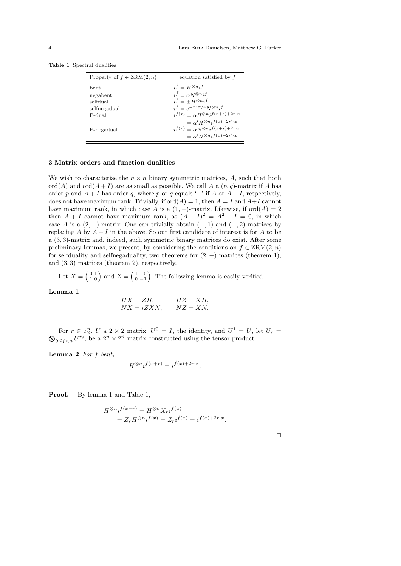| Property of $f \in \text{ZRM}(2,n)$                       | equation satisfied by $f$                                                                                                                                                                                                                                             |
|-----------------------------------------------------------|-----------------------------------------------------------------------------------------------------------------------------------------------------------------------------------------------------------------------------------------------------------------------|
| hent.<br>negabent<br>selfdual<br>selfnegadual<br>$P-dual$ | $i^{\hat{f}} = H^{\otimes n} i^f$<br>$i^{\tilde{f}} = \alpha N^{\otimes n} i^f$<br>$i^f = +H^{\otimes n}i^f$<br>$i^f = e^{-ni\pi/4} N^{\otimes n} i^f$<br>$i^{f(x)} = \alpha H^{\otimes n} i^{f(x+s)+2r \cdot x}$<br>$= \alpha' H^{\otimes n} i^{f(x) + 2r' \cdot x}$ |
| P-negadual                                                | $i^{f(x)} = \alpha N^{\otimes n} i^{f(x+s)+2r \cdot x}$<br>$= \alpha' N^{\otimes n} i^{f(x) + 2r' \cdot x}$                                                                                                                                                           |

Table 1 Spectral dualities

#### 3 Matrix orders and function dualities

We wish to characterise the  $n \times n$  binary symmetric matrices, A, such that both ord(A) and ord( $A + I$ ) are as small as possible. We call A a  $(p, q)$ -matrix if A has order p and  $A + I$  has order q, where p or q equals '−' if A or  $A + I$ , respectively, does not have maximum rank. Trivially, if  $\text{ord}(A) = 1$ , then  $A = I$  and  $A + I$  cannot have maximum rank, in which case A is a  $(1, -)$ -matrix. Likewise, if  $\text{ord}(A) = 2$ then  $A + I$  cannot have maximum rank, as  $(A + I)^2 = A^2 + I = 0$ , in which case A is a  $(2, -)$ -matrix. One can trivially obtain  $(-, 1)$  and  $(-, 2)$  matrices by replacing A by  $A + I$  in the above. So our first candidate of interest is for A to be a (3, 3)-matrix and, indeed, such symmetric binary matrices do exist. After some preliminary lemmas, we present, by considering the conditions on  $f \in \text{ZRM}(2,n)$ for selfduality and selfnegaduality, two theorems for  $(2, -)$  matrices (theorem 1), and (3, 3) matrices (theorem 2), respectively.

Let  $X = \begin{pmatrix} 0 & 1 \\ 1 & 0 \end{pmatrix}$  and  $Z = \begin{pmatrix} 1 & 0 \\ 0 & -1 \end{pmatrix}$ . The following lemma is easily verified.

Lemma 1

$$
HX = ZH, \t HZ = XH, \t NX = iZXN, \t NZ = XN.
$$

For  $r \in \mathbb{F}_2^n$ , U a 2 × 2 matrix,  $U^0 = I$ , the identity, and  $U^1$ For  $r \in \mathbb{F}_2^n$ ,  $U$  a  $2 \times 2$  matrix,  $U^0 = I$ , the identity, and  $U^1 = U$ , let  $U_r = \bigotimes_{0 \leq j < n} U^{r_j}$ , be a  $2^n \times 2^n$  matrix constructed using the tensor product.

**Lemma 2** For  $f$  bent,

$$
H^{\otimes n} i^{f(x+r)} = i^{\hat{f}(x) + 2r \cdot x}.
$$

Proof. By lemma 1 and Table 1,

$$
H^{\otimes n}i^{f(x+r)} = H^{\otimes n}X_{r}i^{f(x)}
$$
  
=  $Z_{r}H^{\otimes n}i^{f(x)} = Z_{r}i^{\hat{f}(x)} = i^{\hat{f}(x)+2r \cdot x}.$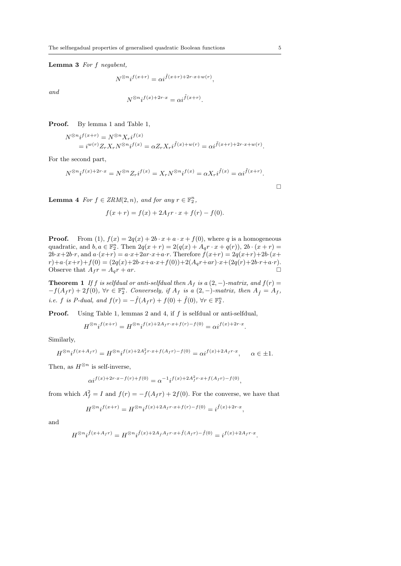Lemma 3 For f negabent,

$$
N^{\otimes n}i^{f(x+r)} = \alpha i^{\tilde{f}(x+r) + 2r \cdot x + w(r)},
$$

and

$$
N^{\otimes n}i^{f(x)+2r\cdot x} = \alpha i^{\tilde{f}(x+r)}.
$$

Proof. By lemma 1 and Table 1,

$$
\begin{aligned} &\otimes n_i f(x+r) = N^{\otimes n} X_r i^{f(x)} \\ &= i^{w(r)} Z_r X_r N^{\otimes n} i^{f(x)} = \alpha Z_r X_r i^{\tilde{f}(x)+w(r)} = \alpha i^{\tilde{f}(x+r)+2r\cdot x+w(r)}. \end{aligned}
$$

For the second part,

N

$$
N^{\otimes n}i^{f(x)+2r\cdot x} = N^{\otimes n}Z_{r}i^{f(x)} = X_{r}N^{\otimes n}i^{f(x)} = \alpha X_{r}i^{\tilde{f}(x)} = \alpha i^{\tilde{f}(x+r)}.
$$

**Lemma 4** For  $f \in \text{ZRM}(2, n)$ , and for any  $r \in \mathbb{F}_2^n$ ,

$$
f(x + r) = f(x) + 2A_f r \cdot x + f(r) - f(0).
$$

**Proof.** From (1),  $f(x) = 2q(x) + 2b \cdot x + a \cdot x + f(0)$ , where q is a homogeneous quadratic, and  $b, a \in \mathbb{F}_2^n$ . Then  $2q(x+r) = 2(q(x) + A_qr \cdot x + q(r))$ ,  $2b \cdot (x+r) =$  $2b\cdot x+2b\cdot r$ , and  $a\cdot(x+r) = a\cdot x+2ar\cdot x+a\cdot r$ . Therefore  $f(x+r) = 2g(x+r)+2b\cdot(x+r)$  $r)+a\cdot(x+r)+f(0)=(2q(x)+2b\cdot x+a\cdot x+f(0))+2(A_qr+ar)\cdot x+(2q(r)+2b\cdot r+a\cdot r).$ Observe that  $A_f r = A_q r + ar$ .

**Theorem 1** If f is selfdual or anti-selfdual then  $A_f$  is a  $(2, -)$ -matrix, and  $f(r) =$  $-f(A_f r) + 2f(0), \forall r \in \mathbb{F}_2^n$ . Conversely, if  $A_f$  is a  $(2, -)$ -matrix, then  $A_{\hat{f}} = A_f$ , *i.e.* f is P-dual, and  $f(r) = -\hat{f}(A_f r) + f(0) + \hat{f}(0)$ ,  $\forall r \in \mathbb{F}_2^n$ .

**Proof.** Using Table 1, lemmas 2 and 4, if f is selfdual or anti-selfdual,

$$
H^{\otimes n} i^{f(x+r)} = H^{\otimes n} i^{f(x)+2A_f r \cdot x + f(r) - f(0)} = \alpha i^{f(x)+2r \cdot x}.
$$

Similarly,

$$
H^{\otimes n}i^{f(x+A_f r)} = H^{\otimes n}i^{f(x)+2A_f^2r\cdot x+f(A_f r)-f(0)} = \alpha i^{f(x)+2A_f r\cdot x}, \quad \alpha \in \pm 1.
$$

Then, as  $H^{\otimes n}$  is self-inverse,

$$
\alpha i^{f(x)+2r \cdot x - f(r)+f(0)} = \alpha^{-1} i^{f(x)+2A_f^2 r \cdot x + f(A_f r) - f(0)},
$$

from which  $A_f^2 = I$  and  $f(r) = -f(A_f r) + 2f(0)$ . For the converse, we have that

$$
H^{\otimes n} i^{f(x+r)} = H^{\otimes n} i^{f(x)+2A_f r\cdot x + f(r)-f(0)} = i^{\hat{f}(x)+2r\cdot x},
$$

and

$$
H^{\otimes n}i^{\hat{f}(x+A_f r)} = H^{\otimes n}i^{\hat{f}(x)+2A_{\hat{f}}A_f r\cdot x + \hat{f}(A_f r) - \hat{f}(0)} = i^{f(x)+2A_f r\cdot x}.
$$

 $\Box$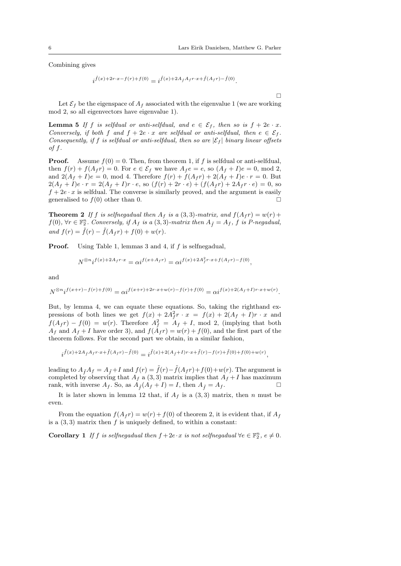Combining gives

$$
i^{\hat{f}(x) + 2r \cdot x - f(r) + f(0)} = i^{\hat{f}(x) + 2A_{\hat{f}}A_f r \cdot x + \hat{f}(A_f r) - \hat{f}(0)}.
$$

П

Let  $\mathcal{E}_f$  be the eigenspace of  $A_f$  associated with the eigenvalue 1 (we are working mod 2, so all eigenvectors have eigenvalue 1).

**Lemma 5** If f is selfdual or anti-selfdual, and  $e \in \mathcal{E}_f$ , then so is  $f + 2e \cdot x$ . Conversely, if both f and  $f + 2e \cdot x$  are selfdual or anti-selfdual, then  $e \in \mathcal{E}_f$ . Consequently, if f is selfdual or anti-selfdual, then so are  $|\mathcal{E}_f|$  binary linear offsets of  $f$ .

**Proof.** Assume  $f(0) = 0$ . Then, from theorem 1, if f is selfdual or anti-selfdual, then  $f(r) + f(A_f r) = 0$ . For  $e \in \mathcal{E}_f$  we have  $A_f e = e$ , so  $(A_f + I)e = 0$ , mod 2, and  $2(A_f + I)e = 0$ , mod 4. Therefore  $f(r) + f(A_f r) + 2(A_f + I)e \cdot r = 0$ . But  $2(A_f + I)e \cdot r = 2(A_f + I)r \cdot e$ , so  $(f(r) + 2r \cdot e) + (f(A_f r) + 2A_f r \cdot e) = 0$ , so  $f + 2e \cdot x$  is selfdual. The converse is similarly proved, and the argument is easily generalised to  $f(0)$  other than 0.

**Theorem 2** If f is selfnegadual then  $A_f$  is a  $(3,3)$ -matrix, and  $f(A_f r) = w(r) +$  $f(0)$ ,  $\forall r \in \mathbb{F}_2^n$ . Conversely, if  $A_f$  is a  $(3,3)$ -matrix then  $A_{\tilde{f}} = A_f$ ,  $f$  is P-negadual, and  $f(r) = \tilde{f}(r) - \tilde{f}(A_f r) + f(0) + w(r)$ .

Proof. Using Table 1, lemmas 3 and 4, if f is selfnegadual,

$$
N^{\otimes n} i^{f(x)+2A_f r \cdot x} = \alpha i^{f(x+A_f r)} = \alpha i^{f(x)+2A_f^2 r \cdot x + f(A_f r) - f(0)},
$$

and

$$
N^{\otimes n} i^{f(x+r)-f(r)+f(0)}=\alpha i^{f(x+r)+2r\cdot x+w(r)-f(r)+f(0)}=\alpha i^{f(x)+2(A_f+I)r\cdot x+w(r)}.
$$

But, by lemma 4, we can equate these equations. So, taking the righthand expressions of both lines we get  $f(x) + 2A_f^2 r \cdot x = f(x) + 2(A_f + I)r \cdot x$  and  $f(A_f r) - f(0) = w(r)$ . Therefore  $A_f^2 = A_f + I$ , mod 2, (implying that both  $A_f$  and  $A_f + I$  have order 3), and  $f(A_f r) = w(r) + f(0)$ , and the first part of the theorem follows. For the second part we obtain, in a similar fashion,

$$
i^{\tilde{f}(x) + 2A_{\tilde{f}}A_f r \cdot x + \tilde{f}(A_f r) - \tilde{f}(0)} = i^{\tilde{f}(x) + 2(A_{\tilde{f}} + I)r \cdot x + \tilde{f}(r) - f(r) + \tilde{f}(0) + f(0) + w(r)},
$$

leading to  $A_{\tilde{f}}A_f = A_{\tilde{f}} + I$  and  $f(r) = \tilde{f}(r) - \tilde{f}(A_f r) + f(0) + w(r)$ . The argument is completed by observing that  $A_f$  a (3,3) matrix implies that  $A_f + I$  has maximum rank, with inverse  $A_f$ . So, as  $A_{\tilde{f}}(A_f + I) = I$ , then  $A_{\tilde{f}} = A_f$ .

It is later shown in lemma 12 that, if  $A_f$  is a  $(3,3)$  matrix, then n must be even.

From the equation  $f(A_f r) = w(r) + f(0)$  of theorem 2, it is evident that, if  $A_f$ is a  $(3,3)$  matrix then f is uniquely defined, to within a constant:

**Corollary 1** If f is selfnegadual then  $f + 2e \cdot x$  is not selfnegadual  $\forall e \in \mathbb{F}_2^n$ ,  $e \neq 0$ .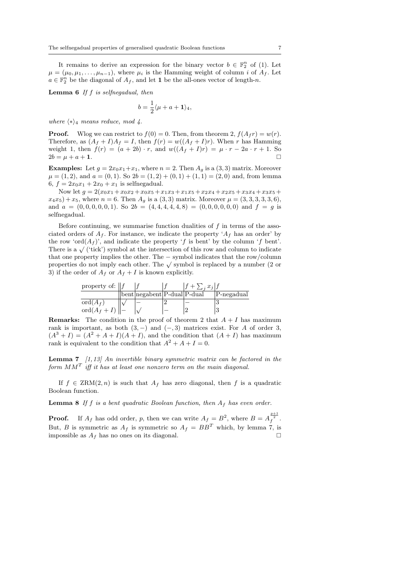It remains to derive an expression for the binary vector  $b \in \mathbb{F}_2^n$  of (1). Let  $\mu = (\mu_0, \mu_1, \dots, \mu_{n-1}),$  where  $\mu_i$  is the Hamming weight of column *i* of  $A_f$ . Let  $a \in \mathbb{F}_2^n$  be the diagonal of  $A_f$ , and let **1** be the all-ones vector of length-n.

**Lemma 6** If  $f$  is selfnegadual, then

$$
b = \frac{1}{2} \langle \mu + a + \mathbf{1} \rangle_4,
$$

where  $\langle \ast \rangle_4$  means reduce, mod 4.

**Proof.** Wlog we can restrict to  $f(0) = 0$ . Then, from theorem 2,  $f(A_f r) = w(r)$ . Therefore, as  $(A_f + I)A_f = I$ , then  $f(r) = w((A_f + I)r)$ . When r has Hamming weight 1, then  $f(r) = (a + 2b) \cdot r$ , and  $w((A_f + I)r) = \mu \cdot r - 2a \cdot r + 1$ . So  $2b = \mu + a + 1.$ 

**Examples:** Let  $g = 2x_0x_1+x_1$ , where  $n = 2$ . Then  $A_g$  is a  $(3,3)$  matrix. Moreover  $\mu = (1, 2)$ , and  $a = (0, 1)$ . So  $2b = (1, 2) + (0, 1) + (1, 1) = (2, 0)$  and, from lemma 6,  $f = 2x_0x_1 + 2x_0 + x_1$  is selfnegadual.

Now let  $g = 2(x_0x_1 + x_0x_2 + x_0x_5 + x_1x_3 + x_1x_5 + x_2x_4 + x_2x_5 + x_3x_4 + x_3x_5 +$  $x_4x_5$  +  $x_5$ , where  $n = 6$ . Then  $A_g$  is a  $(3,3)$  matrix. Moreover  $\mu = (3,3,3,3,3,6)$ , and  $a = (0, 0, 0, 0, 0, 1)$ . So  $2b = (4, 4, 4, 4, 4, 8) = (0, 0, 0, 0, 0, 0)$  and  $f = g$  is selfnegadual.

Before continuing, we summarise function dualities of  $f$  in terms of the associated orders of  $A_f$ . For instance, we indicate the property ' $A_f$  has an order' by the row 'ord $(A_f)$ ', and indicate the property 'f is bent' by the column 'f bent'. There is a  $\sqrt{\text{ (tick)}}$  symbol at the intersection of this row and column to indicate that one property implies the other. The − symbol indicates that the row/column properties do not imply each other. The  $\sim$  symbol indicates that the row/column<br>properties do not imply each other. The  $\sqrt{\rm$  symbol is replaced by a number (2 or 3) if the order of  $A_f$  or  $A_f + I$  is known explicitly.

| property of: $  f  $  |                                   | $f + \sum_i x_i$ |            |
|-----------------------|-----------------------------------|------------------|------------|
|                       | bent   negabent   P-dual   P-dual |                  | P-negadual |
| $\mathrm{ord}(A_f)$   |                                   |                  |            |
| $\mathrm{ord}(A_f+I)$ |                                   |                  |            |

**Remarks:** The condition in the proof of theorem 2 that  $A + I$  has maximum rank is important, as both  $(3, -)$  and  $(-, 3)$  matrices exist. For A of order 3,  $(A<sup>3</sup> + I) = (A<sup>2</sup> + A + I)(A + I)$ , and the condition that  $(A + I)$  has maximum rank is equivalent to the condition that  $A^2 + A + I = 0$ .

**Lemma 7** [1, 13] An invertible binary symmetric matrix can be factored in the form  $MM^T$  iff it has at least one nonzero term on the main diagonal.

If  $f \in \text{ZRM}(2,n)$  is such that  $A_f$  has zero diagonal, then f is a quadratic Boolean function.

**Lemma 8** If f is a bent quadratic Boolean function, then  $A_f$  has even order.

**Proof.** If  $A_f$  has odd order, p, then we can write  $A_f = B^2$ , where  $B = A_f^{\frac{p+1}{2}}$ . But, B is symmetric as  $A_f$  is symmetric so  $A_f = BB^T$  which, by lemma 7, is impossible as  $A_f$  has no ones on its diagonal.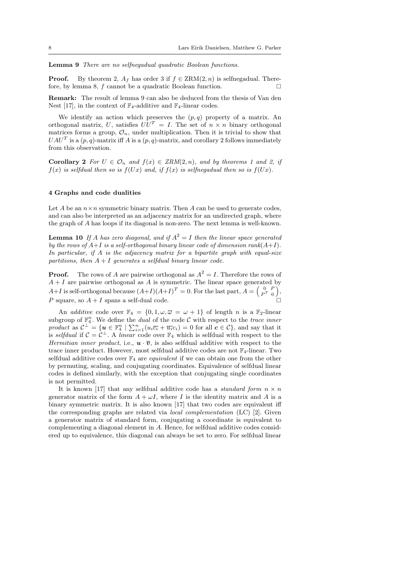Lemma 9 There are no selfnegadual quadratic Boolean functions.

**Proof.** By theorem 2,  $A_f$  has order 3 if  $f \in \text{ZRM}(2, n)$  is selfnegadual. Therefore, by lemma 8, f cannot be a quadratic Boolean function.

Remark: The result of lemma 9 can also be deduced from the thesis of Van den Nest [17], in the context of  $\mathbb{F}_4$ -additive and  $\mathbb{F}_4$ -linear codes.

We identify an action which preserves the  $(p, q)$  property of a matrix. An orthogonal matrix, U, satisfies  $UU^T = I$ . The set of  $n \times n$  binary orthogonal matrices forms a group,  $\mathcal{O}_n$ , under multiplication. Then it is trivial to show that  $UAU^{T}$  is a  $(p, q)$ -matrix iff A is a  $(p, q)$ -matrix, and corollary 2 follows immediately from this observation.

Corollary 2 For  $U \in \mathcal{O}_n$  and  $f(x) \in \text{ZRM}(2,n)$ , and by theorems 1 and 2, if  $f(x)$  is selfdual then so is  $f(Ux)$  and, if  $f(x)$  is selfnegadual then so is  $f(Ux)$ .

### 4 Graphs and code dualities

Let A be an  $n \times n$  symmetric binary matrix. Then A can be used to generate codes, and can also be interpreted as an adjacency matrix for an undirected graph, where the graph of A has loops if its diagonal is non-zero. The next lemma is well-known.

**Lemma 10** If A has zero diagonal, and if  $A^2 = I$  then the linear space generated by the rows of  $A+I$  is a self-orthogonal binary linear code of dimension rank $(A+I)$ . In particular, if  $A$  is the adjacency matrix for a bipartite graph with equal-size partitions, then  $A + I$  generates a selfdual binary linear code.

**Proof.** The rows of A are pairwise orthogonal as  $A^2 = I$ . Therefore the rows of  $A + I$  are pairwise orthogonal as A is symmetric. The linear space generated by  $A+I$  is self-orthogonal because  $(A+I)(A+I)^{T} = 0$ . For the last part,  $A = \begin{pmatrix} 0 & F \\ P^{T} & 0 \end{pmatrix}$  $\begin{pmatrix} 0 & P \\ P^T & 0 \end{pmatrix}$ P square, so  $A + I$  spans a self-dual code.

An additive code over  $\mathbb{F}_4 = \{0, 1, \omega, \overline{\omega} = \omega + 1\}$  of length n is a  $\mathbb{F}_2$ -linear subgroup of  $\mathbb{F}_4^n$ . We define the *dual* of the code  $\mathcal C$  with respect to the *trace inner* product as  $\mathcal{C}^{\perp} = {\mathbf{u} \in \mathbb{F}_4^n \mid \sum_{i=1}^n (u_i \overline{c_i} + \overline{u_i} c_i)} = 0$  for all  $\mathbf{c} \in \mathcal{C}}$ , and say that it is selfdual if  $C = C^{\perp}$ . A linear code over  $\mathbb{F}_4$  which is selfdual with respect to the Hermitian inner product, i.e.,  $\mathbf{u} \cdot \overline{\mathbf{v}}$ , is also selfdual additive with respect to the trace inner product. However, most selfdual additive codes are not F4-linear. Two selfdual additive codes over  $\mathbb{F}_4$  are *equivalent* if we can obtain one from the other by permuting, scaling, and conjugating coordinates. Equivalence of selfdual linear codes is defined similarly, with the exception that conjugating single coordinates is not permitted.

It is known [17] that any selfdual additive code has a *standard form*  $n \times n$ generator matrix of the form  $A + \omega I$ , where I is the identity matrix and A is a binary symmetric matrix. It is also known [17] that two codes are equivalent iff the corresponding graphs are related via local complementation (LC) [2]. Given a generator matrix of standard form, conjugating a coordinate is equivalent to complementing a diagonal element in A. Hence, for selfdual additive codes considered up to equivalence, this diagonal can always be set to zero. For selfdual linear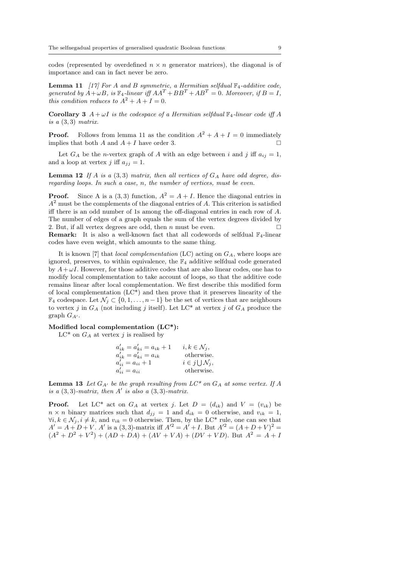codes (represented by overdefined  $n \times n$  generator matrices), the diagonal is of importance and can in fact never be zero.

**Lemma 11** [17] For A and B symmetric, a Hermitian selfdual  $\mathbb{F}_4$ -additive code, generated by  $A + \omega B$ , is  $\mathbb{F}_4$ -linear iff  $AA^T + BB^T + AB^T = 0$ . Moreover, if  $B = I$ , this condition reduces to  $A^2 + A + I = 0$ .

Corollary 3  $A + \omega I$  is the codespace of a Hermitian selfdual  $\mathbb{F}_4$ -linear code iff A is a  $(3, 3)$  matrix.

**Proof.** Follows from lemma 11 as the condition  $A^2 + A + I = 0$  immediately implies that both  $A$  and  $A + I$  have order 3.

Let  $G_A$  be the *n*-vertex graph of A with an edge between i and j iff  $a_{ij} = 1$ , and a loop at vertex j iff  $a_{ij} = 1$ .

**Lemma 12** If A is a  $(3,3)$  matrix, then all vertices of  $G_A$  have odd degree, disregarding loops. In such a case, n, the number of vertices, must be even.

**Proof.** Since A is a (3,3) function,  $A^2 = A + I$ . Hence the diagonal entries in  $A<sup>2</sup>$  must be the complements of the diagonal entries of A. This criterion is satisfied iff there is an odd number of 1s among the off-diagonal entries in each row of A. The number of edges of a graph equals the sum of the vertex degrees divided by 2. But, if all vertex degrees are odd, then *n* must be even.

**Remark:** It is also a well-known fact that all codewords of selfdual  $\mathbb{F}_4$ -linear codes have even weight, which amounts to the same thing.

It is known [7] that *local complementation* (LC) acting on  $G_A$ , where loops are ignored, preserves, to within equivalence, the  $\mathbb{F}_4$  additive selfdual code generated by  $A+\omega I$ . However, for those additive codes that are also linear codes, one has to modify local complementation to take account of loops, so that the additive code remains linear after local complementation. We first describe this modified form of local complementation (LC\*) and then prove that it preserves linearity of the  $\mathbb{F}_4$  codespace. Let  $\mathcal{N}_j$  ⊂  $\{0, 1, \ldots, n-1\}$  be the set of vertices that are neighbours to vertex j in  $G_A$  (not including j itself). Let  $LC^*$  at vertex j of  $G_A$  produce the graph  $G_{A'}$ .

## Modified local complementation (LC\*):

LC<sup>\*</sup> on  $G_A$  at vertex j is realised by

| $a'_{ik} = a'_{ki} = a_{ik} + 1$ | $i, k \in \mathcal{N}_i$ ,        |
|----------------------------------|-----------------------------------|
| $a'_{ik} = a'_{ki} = a_{ik}$     | otherwise.                        |
| $a'_{ii} = a_{ii} + 1$           | $i \in j \bigcup \mathcal{N}_i$ , |
| $a'_{ii} = a_{ii}$               | otherwise.                        |

**Lemma 13** Let  $G_{A'}$  be the graph resulting from  $LC^*$  on  $G_A$  at some vertex. If A is a  $(3,3)$ -matrix, then A' is also a  $(3,3)$ -matrix.

**Proof.** Let LC\* act on  $G_A$  at vertex j. Let  $D = (d_{ik})$  and  $V = (v_{ik})$  be  $n \times n$  binary matrices such that  $d_{jj} = 1$  and  $d_{ik} = 0$  otherwise, and  $v_{ik} = 1$ ,  $\forall i, k \in \mathcal{N}_j, i \neq k$ , and  $v_{ik} = 0$  otherwise. Then, by the LC\* rule, one can see that  $A' = A + D + V$ . A' is a (3,3)-matrix iff  $A'^2 = A' + I$ . But  $A'^2 = (A + D + V)^2$  $(A^{2} + D^{2} + V^{2}) + (AD + DA) + (AV + VA) + (DV + VD)$ . But  $A^{2} = A + D^{2}$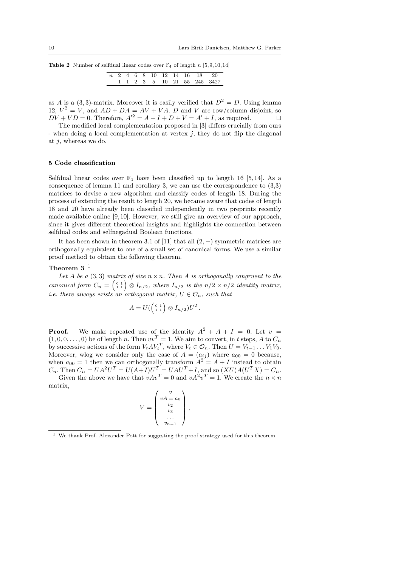|  |  |  |  | n 2 4 6 8 10 12 14 16 18 20 |                             |
|--|--|--|--|-----------------------------|-----------------------------|
|  |  |  |  |                             | 1 1 2 3 5 10 21 55 245 3427 |

as A is a  $(3,3)$ -matrix. Moreover it is easily verified that  $D^2 = D$ . Using lemma 12,  $V^2 = V$ , and  $AD + DA = AV + VA$ . D and V are row/column disjoint, so  $DV + VD = 0$ . Therefore,  $A'^2 = A + I + D + V = A' + I$ , as required.

The modified local complementation proposed in [3] differs crucially from ours - when doing a local complementation at vertex  $j$ , they do not flip the diagonal at  $j$ , whereas we do.

#### 5 Code classification

Selfdual linear codes over  $\mathbb{F}_4$  have been classified up to length 16 [5,14]. As a consequence of lemma 11 and corollary 3, we can use the correspondence to (3,3) matrices to devise a new algorithm and classify codes of length 18. During the process of extending the result to length 20, we became aware that codes of length 18 and 20 have already been classified independently in two preprints recently made available online [9,10]. However, we still give an overview of our approach, since it gives different theoretical insights and highlights the connection between selfdual codes and selfnegadual Boolean functions.

It has been shown in theorem 3.1 of [11] that all  $(2, -)$  symmetric matrices are orthogonally equivalent to one of a small set of canonical forms. We use a similar proof method to obtain the following theorem.

# Theorem 3 $^{-1}$

Let A be a (3,3) matrix of size  $n \times n$ . Then A is orthogonally congruent to the canonical form  $C_n = \begin{pmatrix} 0 & 1 \\ 1 & 1 \end{pmatrix} \otimes I_{n/2}$ , where  $I_{n/2}$  is the  $n/2 \times n/2$  identity matrix, *i.e.* there always exists an orthogonal matrix,  $U \in \mathcal{O}_n$ , such that

$$
A = U(\left(\begin{smallmatrix} 0 & 1 \\ 1 & 1 \end{smallmatrix}\right) \otimes I_{n/2})U^T
$$

.

**Proof.** We make repeated use of the identity  $A^2 + A + I = 0$ . Let  $v =$  $(1, 0, 0, \ldots, 0)$  be of length n. Then  $vv<sup>T</sup> = 1$ . We aim to convert, in t steps, A to  $C_n$ by successive actions of the form  $V_t A V_t^T$ , where  $V_t \in \mathcal{O}_n$ . Then  $U = V_{t-1} \dots V_1 V_0$ . Moreover, wlog we consider only the case of  $A = (a_{ij})$  where  $a_{00} = 0$  because, when  $a_{00} = 1$  then we can orthogonally transform  $A^2 = A + I$  instead to obtain  $C_n$ . Then  $C_n = UA^2U^T = U(A+I)U^T = UAU^T + I$ , and so  $(XU)A(U^TX) = C_n$ . Given the above we have that  $vAv^T = 0$  and  $vA^2v^T = 1$ . We create the  $n \times n$ matrix,

$$
V = \begin{pmatrix} v \\ vA = a_0 \\ v_2 \\ v_3 \\ \dots \\ v_{n-1} \end{pmatrix},
$$

<sup>1</sup> We thank Prof. Alexander Pott for suggesting the proof strategy used for this theorem.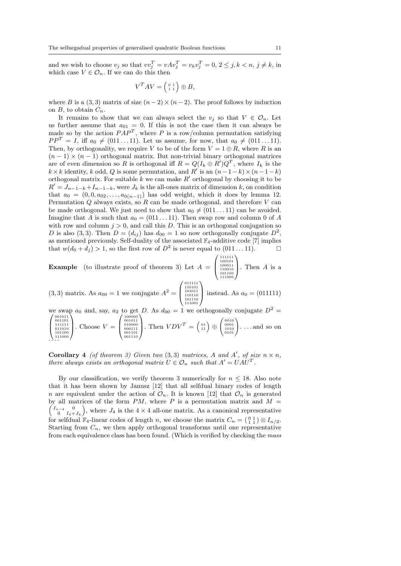and we wish to choose  $v_j$  so that  $vv_j^T = vAv_j^T = v_kv_j^T = 0, 2 \le j, k < n, j \ne k$ , in which case  $V \in \mathcal{O}_n$ . If we can do this then

$$
V^T A V = \left(\begin{smallmatrix} 0 & 1 \\ 1 & 1 \end{smallmatrix}\right) \oplus B,
$$

where B is a (3,3) matrix of size  $(n-2) \times (n-2)$ . The proof follows by induction on  $B$ , to obtain  $C_n$ .

It remains to show that we can always select the  $v_i$  so that  $V \in \mathcal{O}_n$ . Let us further assume that  $a_{01} = 0$ . If this is not the case then it can always be made so by the action  $PAP^T$ , where P is a row/column permutation satisfying  $PP<sup>T</sup> = I$ , iff  $a_0 \neq (011 \dots 11)$ . Let us assume, for now, that  $a_0 \neq (011 \dots 11)$ . Then, by orthogonality, we require V to be of the form  $V = 1 \oplus R$ , where R is an  $(n-1) \times (n-1)$  orthogonal matrix. But non-trivial binary orthogonal matrices are of even dimension so R is orthogonal iff  $R = Q(I_k \oplus R')Q^T$ , where  $I_k$  is the  $k \times k$  identity, k odd, Q is some permutation, and R' is an  $(n-1-k) \times (n-1-k)$ orthogonal matrix. For suitable  $k$  we can make  $R'$  orthogonal by choosing it to be  $R' = J_{n-1-k} + I_{n-1-k}$ , were  $J_k$  is the all-ones matrix of dimension k, on condition that  $a_0 = (0, 0, a_{02}, \ldots, a_{0(n-1)})$  has odd weight, which it does by lemma 12. Permutation  $Q$  always exists, so  $R$  can be made orthogonal, and therefore  $V$  can be made orthogonal. We just need to show that  $a_0 \neq (011 \dots 11)$  can be avoided. Imagine that A is such that  $a_0 = (011 \dots 11)$ . Then swap row and column 0 of A with row and column  $j > 0$ , and call this D. This is an orthogonal conjugation so D is also (3,3). Then  $D = (d_{ij})$  has  $d_{00} = 1$  so now orthogonally conjugate  $D^2$ , as mentioned previously. Self-duality of the associated  $\mathbb{F}_4$ -additive code [7] implies that  $w(d_0 + d_j) > 1$ , so the first row of  $D^2$  is never equal to  $(011...11)$ .

**Example** (to illustrate proof of theorem 3) Let  $A =$  $\sqrt{ }$  $\overline{ }$ 111111 100101 100011 110010 101100 111000  $\setminus$  $\cdot$  Then A is a

 $(3, 3)$  matrix. As  $a_{00} = 1$  we conjugate  $A^2 =$  $\sqrt{ }$  $\overline{ }$ 011111<br>101011<br>101110<br>101110<br>111001  $\setminus$ instead. As  $a_0 = (011111)$ 

we swap  $a_0$  and, say,  $a_2$  to get D. As  $d_{00} = 1$  we orthogonally conjugate  $D^2 =$  $\overline{ }$ 001011 001101 111111 011010 101100 111000  $\setminus$  $\bigg\}$ . Choose  $V =$  $\sqrt{ }$  $\overline{ }$ 100000 001011 010000 000111 001101 001110  $\setminus$ . Then  $VDV^T = \begin{pmatrix} 01 \\ 11 \end{pmatrix} \oplus$  $\begin{pmatrix} 0 & 0 & 0 & 0 \\ 0 & 0 & 0 & 1 \\ 0 & 1 & 0 & 1 \\ 0 & 1 & 0 & 1 \end{pmatrix}$ ... and so on  $\ddotsc$ 

**Corollary 4** (of theorem 3) Given two (3,3) matrices, A and A', of size  $n \times n$ , there always exists an orthogonal matrix  $U \in \mathcal{O}_n$  such that  $A' = UAU^T$ .

By our classification, we verify theorem 3 numerically for  $n \leq 18$ . Also note that it has been shown by Janusz [12] that all selfdual binary codes of length n are equivalent under the action of  $\mathcal{O}_n$ . It is known [12] that  $\mathcal{O}_n$  is generated by all matrices of the form  $PM$ , where P is a permutation matrix and  $M =$  $\begin{pmatrix} I_{n-4} & 0 \\ 0 & I_4+J_4 \end{pmatrix}$ , where  $J_4$  is the  $4 \times 4$  all-one matrix. As a canonical representative for selfdual  $\mathbb{F}_4$ -linear codes of length n, we choose the matrix  $C_n = \begin{pmatrix} 0 & 1 \\ 1 & 1 \end{pmatrix} \otimes I_{n/2}$ . Starting from  $C_n$ , we then apply orthogonal transforms until one representative from each equivalence class has been found. (Which is verified by checking the mass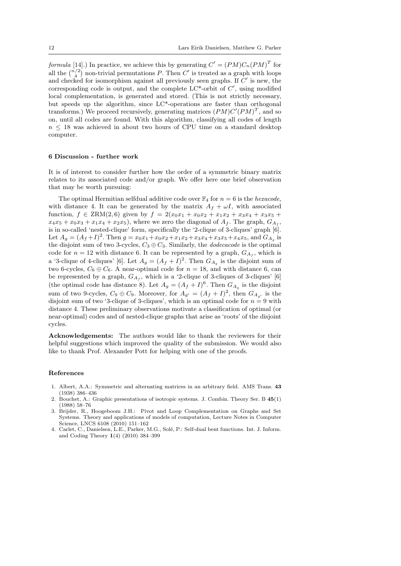formula [14].) In practice, we achieve this by generating  $C' = (PM)C_n(PM)^T$  for all the  $\binom{n/2}{4}$  non-trivial permutations P. Then C' is treated as a graph with loops and checked for isomorphism against all previously seen graphs. If  $C'$  is new, the corresponding code is output, and the complete  $LC^*$ -orbit of  $C'$ , using modified local complementation, is generated and stored. (This is not strictly necessary, but speeds up the algorithm, since LC\*-operations are faster than orthogonal transforms.) We proceed recursively, generating matrices  $(PM)C'(PM)^T$ , and so on, until all codes are found. With this algorithm, classifying all codes of length  $n \leq 18$  was achieved in about two hours of CPU time on a standard desktop computer.

#### 6 Discussion - further work

It is of interest to consider further how the order of a symmetric binary matrix relates to its associated code and/or graph. We offer here one brief observation that may be worth pursuing:

The optimal Hermitian selfdual additive code over  $\mathbb{F}_4$  for  $n = 6$  is the *hexacode*, with distance 4. It can be generated by the matrix  $A_f + \omega I$ , with associated function,  $f \in \text{ZRM}(2,6)$  given by  $f = 2(x_0x_1 + x_0x_2 + x_1x_2 + x_3x_4 + x_3x_5 +$  $x_4x_5 + x_0x_3 + x_1x_4 + x_2x_5$ , where we zero the diagonal of  $A_f$ . The graph,  $G_{A_f}$ , is in so-called 'nested-clique' form, specifically the '2-clique of 3-cliques' graph [6]. Let  $A_g = (A_f + I)^2$ . Then  $g = x_0x_1 + x_0x_2 + x_1x_2 + x_3x_4 + x_3x_5 + x_4x_5$ , and  $G_{A_g}$  is the disjoint sum of two 3-cycles,  $C_3 \oplus C_3$ . Similarly, the *dodecacode* is the optimal code for  $n = 12$  with distance 6. It can be represented by a graph,  $G_{A_f}$ , which is a '3-clique of 4-cliques' [6]. Let  $A_g = (A_f + I)^2$ . Then  $G_{A_g}$  is the disjoint sum of two 6-cycles,  $C_6 \oplus C_6$ . A near-optimal code for  $n = 18$ , and with distance 6, can be represented by a graph,  $G_{A_f}$ , which is a '2-clique of 3-cliques of 3-cliques' [6] (the optimal code has distance 8). Let  $A_g = (A_f + I)^6$ . Then  $G_{A_g}$  is the disjoint sum of two 9-cycles,  $C_9 \oplus C_9$ . Moreover, for  $A_{g'} = (A_f + I)^2$ , then  $G_{A_{g'}}$  is the disjoint sum of two '3-clique of 3-cliques', which is an optimal code for  $n = 9$  with distance 4. These preliminary observations motivate a classification of optimal (or near-optimal) codes and of nested-clique graphs that arise as 'roots' of the disjoint cycles.

Acknowledgements: The authors would like to thank the reviewers for their helpful suggestions which improved the quality of the submission. We would also like to thank Prof. Alexander Pott for helping with one of the proofs.

#### References

- 1. Albert, A.A.: Symmetric and alternating matrices in an arbitrary field. AMS Trans. 43 (1938) 386–436
- 2. Bouchet, A.: Graphic presentations of isotropic systems. J. Combin. Theory Ser. B 45(1) (1988) 58–76
- 3. Brijder, R., Hoogeboom J.H.: Pivot and Loop Complementation on Graphs and Set Systems. Theory and applications of models of computation, Lecture Notes in Computer Science, LNCS 6108 (2010) 151–162
- 4. Carlet, C., Danielsen, L.E., Parker, M.G., Solé, P.: Self-dual bent functions. Int. J. Inform. and Coding Theory 1(4) (2010) 384–399